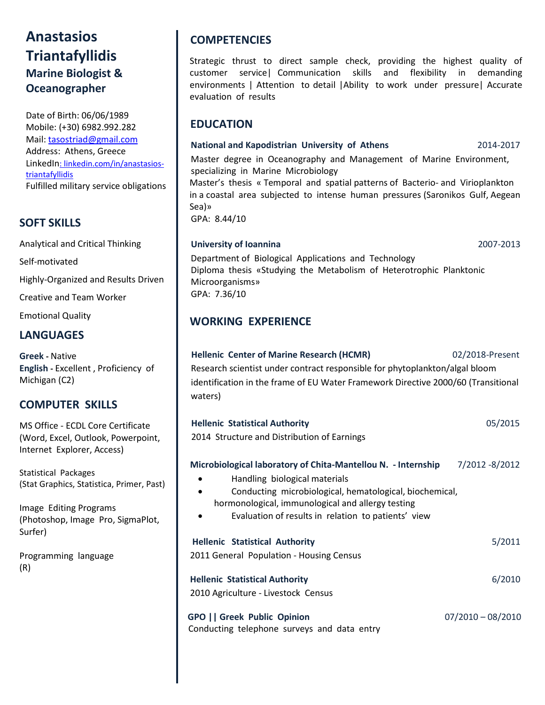# **Anastasios Triantafyllidis Marine Biologist & Oceanographer**

Date of Birth: 06/06/1989 Mobile: (+30) 6982.992.282 Mail: [tasostriad@gmail.com](mailto:tasostriad@gmail.com) Address: Athens, Greece LinkedIn: [linkedin.com/in/anastasios](https://www.linkedin.com/in/anastasios-triantafyllidis?lipi=urn%3Ali%3Apage%3Ad_flagship3_profile_view_base_contact_details%3B03YVE3VyREiNHz%2BfHbv1jg%3D%3D)[triantafyllidis](https://www.linkedin.com/in/anastasios-triantafyllidis?lipi=urn%3Ali%3Apage%3Ad_flagship3_profile_view_base_contact_details%3B03YVE3VyREiNHz%2BfHbv1jg%3D%3D) Fulfilled military service obligations

## **SOFT SKILLS**

Analytical and Critical Thinking Self-motivated Highly-Organized and Results Driven Creative and Team Worker Emotional Quality

#### **LANGUAGES**

**Greek -** Native **English -** Excellent , Proficiency of Michigan (C2)

#### **COMPUTER SKILLS**

 MS Office - ECDL Core Certificate (Word, Excel, Outlook, Powerpoint, Ιnternet Explorer, Access)

Statistical Packages (Stat Graphics, Statistica, Primer, Past)

Image Editing Programs (Photoshop, Image Pro, SigmaPlot, Surfer)

Programming language (R)

## **COMPETENCIES**

Strategic thrust to direct sample check, providing the highest quality of customer service| Communication skills and flexibility in demanding environments | Attention to detail |Ability to work under pressure| Accurate evaluation of results

#### **EDUCATION**

#### **National and Kapodistrian University of Athens** 2014-2017

 Master degree in Oceanography and Management of Marine Environment, specializing in Marine Microbiology Master's thesis « Temporal and spatial patterns of Bacterio- and Virioplankton

in a coastal area subjected to intense human pressures (Saronikos Gulf, Aegean Sea)»

GPA: 8.44/10

#### **University of Ioannina** 2007-2013

Department of Biological Applications and Technology Diploma thesis «Studying the Metabolism of Heterotrophic Planktonic Microorganisms» GPA: 7.36/10

## **WORKING EXPERIENCE**

## **Hellenic Center of Marine Research (HCMR)** 02/2018-Present Research scientist under contract responsible for phytoplankton/algal bloom identification in the frame of EU Water Framework Directive 2000/60 (Transitional waters)

| <b>Hellenic Statistical Authority</b>                            | 05/2015             |
|------------------------------------------------------------------|---------------------|
| 2014 Structure and Distribution of Earnings                      |                     |
|                                                                  |                     |
| Microbiological laboratory of Chita-Mantellou N. - Internship    | 7/2012 -8/2012      |
| Handling biological materials<br>$\bullet$                       |                     |
| Conducting microbiological, hematological, biochemical,          |                     |
| hormonological, immunological and allergy testing                |                     |
| Evaluation of results in relation to patients' view<br>$\bullet$ |                     |
|                                                                  |                     |
| <b>Hellenic Statistical Authority</b>                            | 5/2011              |
| 2011 General Population - Housing Census                         |                     |
|                                                                  |                     |
| <b>Hellenic Statistical Authority</b>                            | 6/2010              |
| 2010 Agriculture - Livestock Census                              |                     |
|                                                                  |                     |
| <b>GPO     Greek Public Opinion</b>                              | $07/2010 - 08/2010$ |
| Conducting telephone surveys and data entry                      |                     |